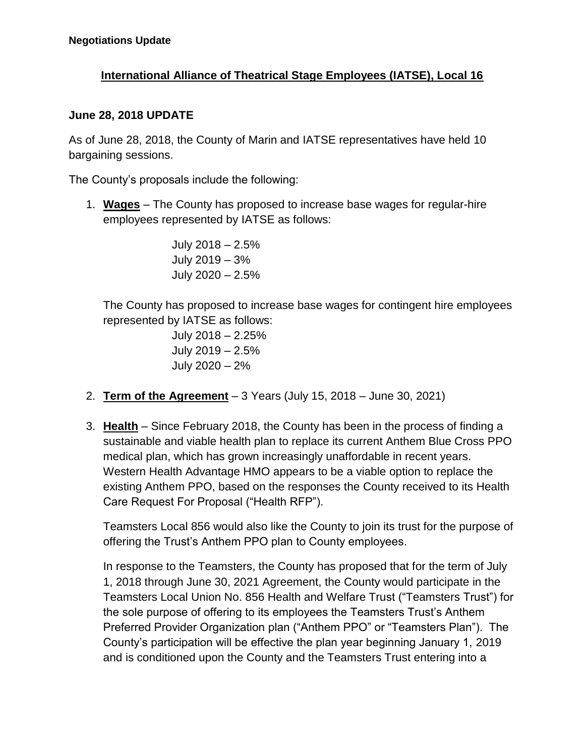## **International Alliance of Theatrical Stage Employees (IATSE), Local 16**

## **June 28, 2018 UPDATE**

As of June 28, 2018, the County of Marin and IATSE representatives have held 10 bargaining sessions.

The County's proposals include the following:

1. **Wages** – The County has proposed to increase base wages for regular-hire employees represented by IATSE as follows:

> July 2018 – 2.5% July 2019 – 3% July 2020 – 2.5%

The County has proposed to increase base wages for contingent hire employees represented by IATSE as follows:

> July 2018 – 2.25% July 2019 – 2.5% July 2020 – 2%

- 2. **Term of the Agreement** 3 Years (July 15, 2018 June 30, 2021)
- 3. **Health** Since February 2018, the County has been in the process of finding a sustainable and viable health plan to replace its current Anthem Blue Cross PPO medical plan, which has grown increasingly unaffordable in recent years. Western Health Advantage HMO appears to be a viable option to replace the existing Anthem PPO, based on the responses the County received to its Health Care Request For Proposal ("Health RFP").

Teamsters Local 856 would also like the County to join its trust for the purpose of offering the Trust's Anthem PPO plan to County employees.

In response to the Teamsters, the County has proposed that for the term of July 1, 2018 through June 30, 2021 Agreement, the County would participate in the Teamsters Local Union No. 856 Health and Welfare Trust ("Teamsters Trust") for the sole purpose of offering to its employees the Teamsters Trust's Anthem Preferred Provider Organization plan ("Anthem PPO" or "Teamsters Plan"). The County's participation will be effective the plan year beginning January 1, 2019 and is conditioned upon the County and the Teamsters Trust entering into a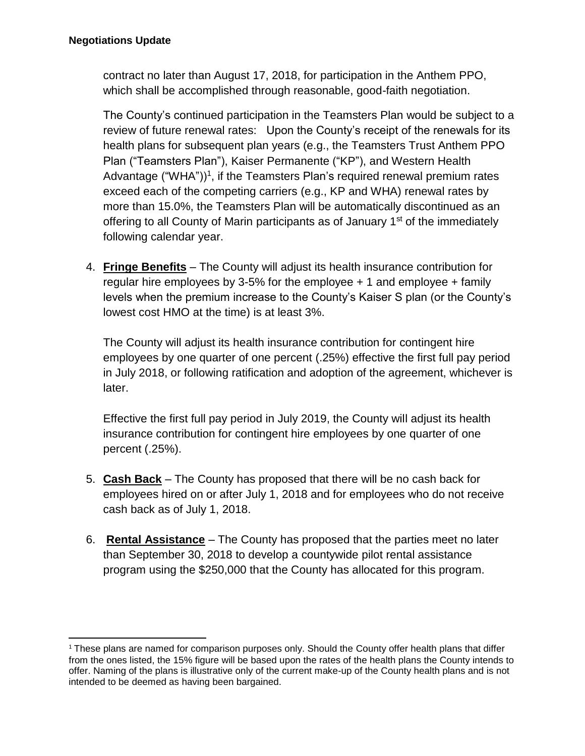contract no later than August 17, 2018, for participation in the Anthem PPO, which shall be accomplished through reasonable, good-faith negotiation.

The County's continued participation in the Teamsters Plan would be subject to a review of future renewal rates: Upon the County's receipt of the renewals for its health plans for subsequent plan years (e.g., the Teamsters Trust Anthem PPO Plan ("Teamsters Plan"), Kaiser Permanente ("KP"), and Western Health Advantage ("WHA"))<sup>1</sup>, if the Teamsters Plan's required renewal premium rates exceed each of the competing carriers (e.g., KP and WHA) renewal rates by more than 15.0%, the Teamsters Plan will be automatically discontinued as an offering to all County of Marin participants as of January 1<sup>st</sup> of the immediately following calendar year.

4. **Fringe Benefits** – The County will adjust its health insurance contribution for regular hire employees by 3-5% for the employee + 1 and employee + family levels when the premium increase to the County's Kaiser S plan (or the County's lowest cost HMO at the time) is at least 3%.

The County will adjust its health insurance contribution for contingent hire employees by one quarter of one percent (.25%) effective the first full pay period in July 2018, or following ratification and adoption of the agreement, whichever is later.

Effective the first full pay period in July 2019, the County will adjust its health insurance contribution for contingent hire employees by one quarter of one percent (.25%).

- 5. **Cash Back** The County has proposed that there will be no cash back for employees hired on or after July 1, 2018 and for employees who do not receive cash back as of July 1, 2018.
- 6. **Rental Assistance** The County has proposed that the parties meet no later than September 30, 2018 to develop a countywide pilot rental assistance program using the \$250,000 that the County has allocated for this program.

<sup>&</sup>lt;sup>1</sup> These plans are named for comparison purposes only. Should the County offer health plans that differ from the ones listed, the 15% figure will be based upon the rates of the health plans the County intends to offer. Naming of the plans is illustrative only of the current make-up of the County health plans and is not intended to be deemed as having been bargained.